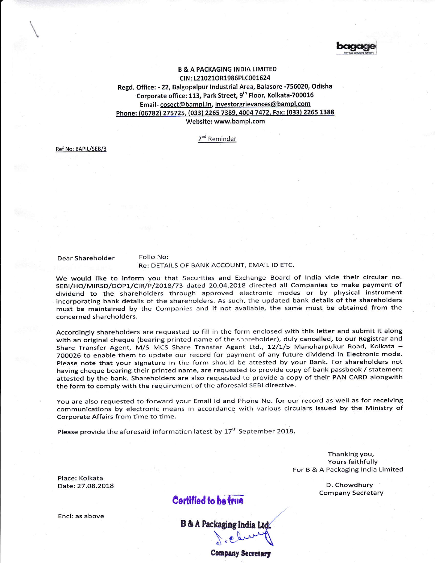

## B & A PACKAGING INDIA LIMITED CIN: t21021OR1986PtC001624 Regd. Office: - 22, Balgopalpur lndustrial Area, Balasore -756020, Odisha Corporate office: 113, Park Street, 9<sup>th</sup> Floor, Kolkata-700016 Email-cosect@bampl.in, investorgrievances@bampl.com Phone: (06782) 275725, (033) 2265 7389, 4004 7472, Fax: (033) 2265 1388 Website: www.bampl.com

2<sup>nd</sup> Reminder

Ref No: BAPIL/SEB/3

Dear Shareholder Folio No:

## Re: DETAILS OF BANK ACCOUNT, EMAIL lD ETC.

We would like to inform you that Securities and Exchange Board of lndia vide their circular no. SEBI/HO/MIRSD/DOP1/CIR/P/2018/73 dated 20.04.2018 directed all Companies to make payment of dividend to the shareholders through approved electronic modes or by physical instrument incorporating bank details of the shareholders. As such, the updated bank details of the shareholders must be maintained by the Companies and if not available, the same must be obtained from the concerned shareholders.

Accordingly shareholders are requested to fill in the form enclosed with this letter and submit it along with an original cheque (bearing printed name of the shareholder), duly cancelled, to our Registrar and Share Transfer Agent, M/S MCS Share Transfer Agent Ltd., 12/1/5 Manoharpukur Road, Kolkata -700026 to enable them to update our record for payment of any future dividend in Electronic mode, please note that your signature in the form should be attested by your Bank. For shareholders not having cheque bearing their printed name, are requested to provide copy of bank passbook / statement attested by the bank. Shareholders are also requested to provide a copy of their PAN CARD alongwith the form to comply with the requirement of the aforesaid sEBt directive.

You are also requested to forward your Email Id and Phone No. for our record as well as for receiving communications by electronic means in accordance with various circulars issued by the Ministry of Corporate Affairs from time to time,

Please provide the aforesaid information latest by 17<sup>th</sup> September 2018.

Thanking you, Yours faithfully For B & A Packaging lndia Limited

Place: Kolkata Date:27.O8.2O18

D, Chowdhury Company Secretary

## Certified to be frue

Encl: as above

**Company Secretary**  $\overline{a}$ 

B & A Packaging India Ltd.